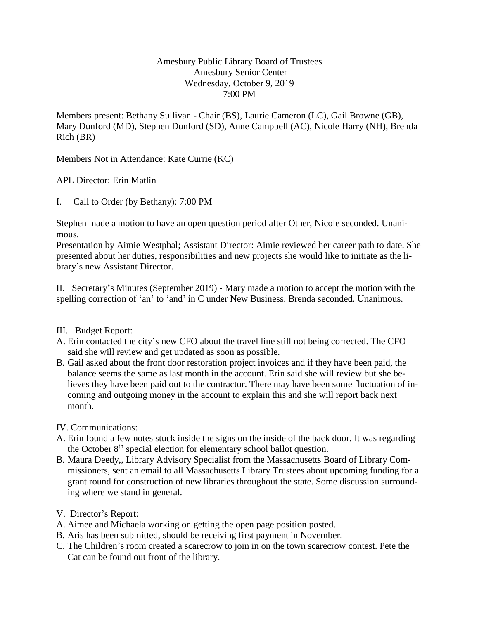## Amesbury Public Library Board of Trustees Amesbury Senior Center Wednesday, October 9, 2019 7:00 PM

Members present: Bethany Sullivan - Chair (BS), Laurie Cameron (LC), Gail Browne (GB), Mary Dunford (MD), Stephen Dunford (SD), Anne Campbell (AC), Nicole Harry (NH), Brenda Rich (BR)

Members Not in Attendance: Kate Currie (KC)

APL Director: Erin Matlin

I. Call to Order (by Bethany): 7:00 PM

Stephen made a motion to have an open question period after Other, Nicole seconded. Unanimous.

Presentation by Aimie Westphal; Assistant Director: Aimie reviewed her career path to date. She presented about her duties, responsibilities and new projects she would like to initiate as the library's new Assistant Director.

II. Secretary's Minutes (September 2019) - Mary made a motion to accept the motion with the spelling correction of 'an' to 'and' in C under New Business. Brenda seconded. Unanimous.

## III. Budget Report:

- A. Erin contacted the city's new CFO about the travel line still not being corrected. The CFO said she will review and get updated as soon as possible.
- B. Gail asked about the front door restoration project invoices and if they have been paid, the balance seems the same as last month in the account. Erin said she will review but she believes they have been paid out to the contractor. There may have been some fluctuation of incoming and outgoing money in the account to explain this and she will report back next month.

IV. Communications:

- A. Erin found a few notes stuck inside the signs on the inside of the back door. It was regarding the October 8<sup>th</sup> special election for elementary school ballot question.
- B. Maura Deedy,, Library Advisory Specialist from the Massachusetts Board of Library Commissioners, sent an email to all Massachusetts Library Trustees about upcoming funding for a grant round for construction of new libraries throughout the state. Some discussion surrounding where we stand in general.
- V. Director's Report:
- A. Aimee and Michaela working on getting the open page position posted.
- B. Aris has been submitted, should be receiving first payment in November.
- C. The Children's room created a scarecrow to join in on the town scarecrow contest. Pete the Cat can be found out front of the library.